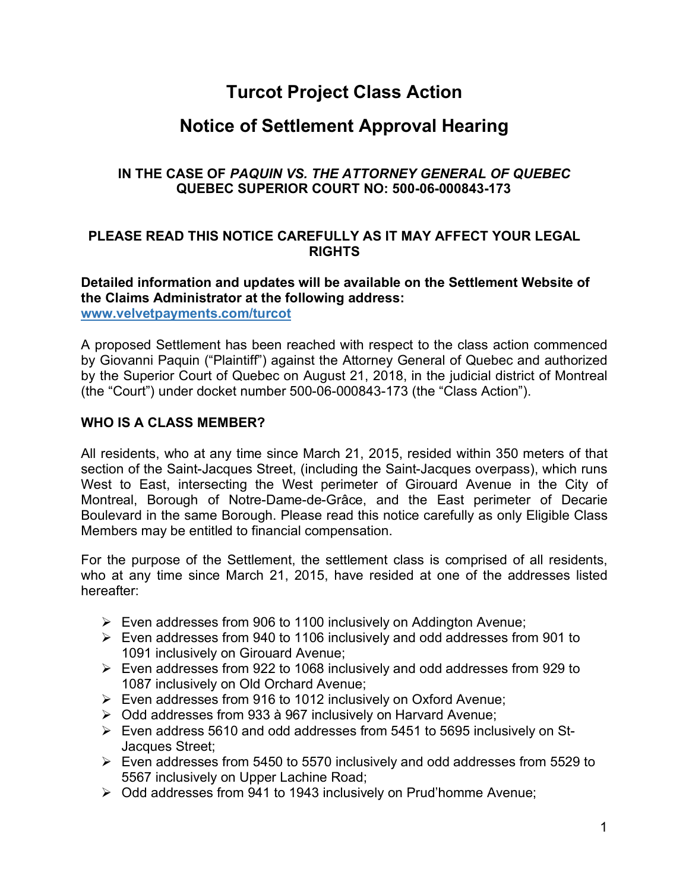# **Turcot Project Class Action**

# **Notice of Settlement Approval Hearing**

## **IN THE CASE OF** *PAQUIN VS. THE ATTORNEY GENERAL OF QUEBEC* **QUEBEC SUPERIOR COURT NO: 500-06-000843-173**

## **PLEASE READ THIS NOTICE CAREFULLY AS IT MAY AFFECT YOUR LEGAL RIGHTS**

#### **Detailed information and updates will be available on the Settlement Website of the Claims Administrator at the following address: www.velvetpayments.com/turcot**

A proposed Settlement has been reached with respect to the class action commenced by Giovanni Paquin ("Plaintiff") against the Attorney General of Quebec and authorized by the Superior Court of Quebec on August 21, 2018, in the judicial district of Montreal (the "Court") under docket number 500-06-000843-173 (the "Class Action").

## **WHO IS A CLASS MEMBER?**

All residents, who at any time since March 21, 2015, resided within 350 meters of that section of the Saint-Jacques Street, (including the Saint-Jacques overpass), which runs West to East, intersecting the West perimeter of Girouard Avenue in the City of Montreal, Borough of Notre-Dame-de-Grâce, and the East perimeter of Decarie Boulevard in the same Borough. Please read this notice carefully as only Eligible Class Members may be entitled to financial compensation.

For the purpose of the Settlement, the settlement class is comprised of all residents, who at any time since March 21, 2015, have resided at one of the addresses listed hereafter:

- $\triangleright$  Even addresses from 906 to 1100 inclusively on Addington Avenue;
- Ø Even addresses from 940 to 1106 inclusively and odd addresses from 901 to 1091 inclusively on Girouard Avenue;
- $\triangleright$  Even addresses from 922 to 1068 inclusively and odd addresses from 929 to 1087 inclusively on Old Orchard Avenue;
- $\triangleright$  Even addresses from 916 to 1012 inclusively on Oxford Avenue;
- $\geq$  Odd addresses from 933 à 967 inclusively on Harvard Avenue;
- $\triangleright$  Even address 5610 and odd addresses from 5451 to 5695 inclusively on St-Jacques Street;
- $\triangleright$  Even addresses from 5450 to 5570 inclusively and odd addresses from 5529 to 5567 inclusively on Upper Lachine Road;
- $\geq$  Odd addresses from 941 to 1943 inclusively on Prud'homme Avenue;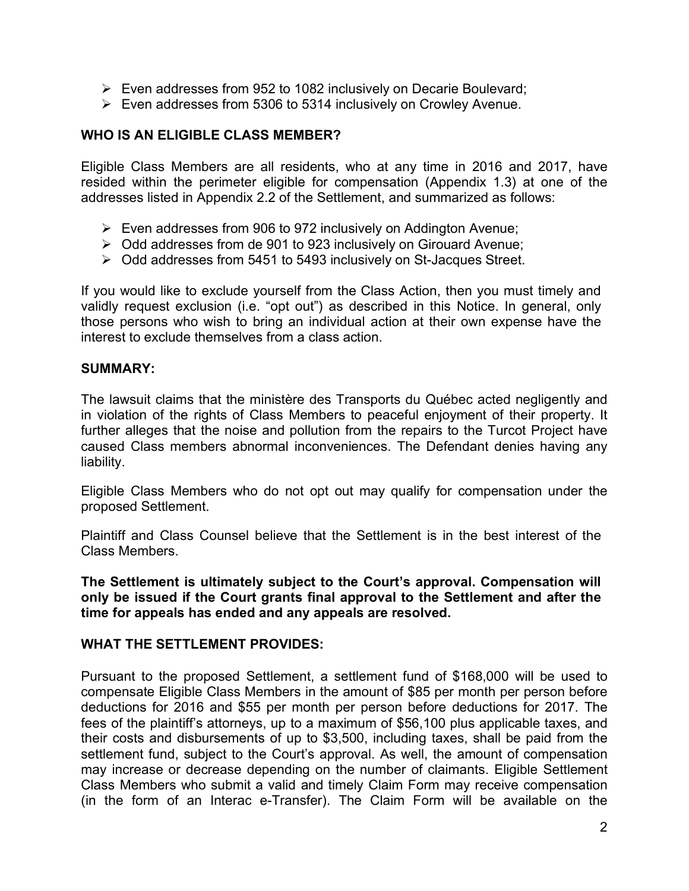- $\triangleright$  Even addresses from 952 to 1082 inclusively on Decarie Boulevard;
- $\triangleright$  Even addresses from 5306 to 5314 inclusively on Crowley Avenue.

#### **WHO IS AN ELIGIBLE CLASS MEMBER?**

Eligible Class Members are all residents, who at any time in 2016 and 2017, have resided within the perimeter eligible for compensation (Appendix 1.3) at one of the addresses listed in Appendix 2.2 of the Settlement, and summarized as follows:

- $\triangleright$  Even addresses from 906 to 972 inclusively on Addington Avenue;
- $\triangleright$  Odd addresses from de 901 to 923 inclusively on Girouard Avenue;
- $\triangleright$  Odd addresses from 5451 to 5493 inclusively on St-Jacques Street.

If you would like to exclude yourself from the Class Action, then you must timely and validly request exclusion (i.e. "opt out") as described in this Notice. In general, only those persons who wish to bring an individual action at their own expense have the interest to exclude themselves from a class action.

#### **SUMMARY:**

The lawsuit claims that the ministère des Transports du Québec acted negligently and in violation of the rights of Class Members to peaceful enjoyment of their property. It further alleges that the noise and pollution from the repairs to the Turcot Project have caused Class members abnormal inconveniences. The Defendant denies having any liability.

Eligible Class Members who do not opt out may qualify for compensation under the proposed Settlement.

Plaintiff and Class Counsel believe that the Settlement is in the best interest of the Class Members.

**The Settlement is ultimately subject to the Court's approval. Compensation will only be issued if the Court grants final approval to the Settlement and after the time for appeals has ended and any appeals are resolved.** 

#### **WHAT THE SETTLEMENT PROVIDES:**

Pursuant to the proposed Settlement, a settlement fund of \$168,000 will be used to compensate Eligible Class Members in the amount of \$85 per month per person before deductions for 2016 and \$55 per month per person before deductions for 2017. The fees of the plaintiff's attorneys, up to a maximum of \$56,100 plus applicable taxes, and their costs and disbursements of up to \$3,500, including taxes, shall be paid from the settlement fund, subject to the Court's approval. As well, the amount of compensation may increase or decrease depending on the number of claimants. Eligible Settlement Class Members who submit a valid and timely Claim Form may receive compensation (in the form of an Interac e-Transfer). The Claim Form will be available on the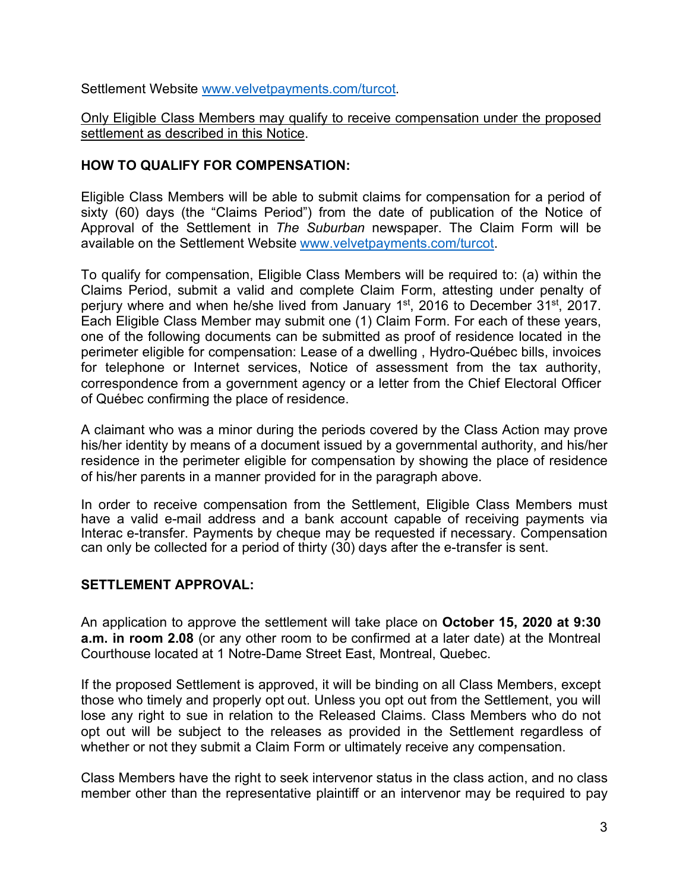Settlement Website www.velvetpayments.com/turcot.

Only Eligible Class Members may qualify to receive compensation under the proposed settlement as described in this Notice.

## **HOW TO QUALIFY FOR COMPENSATION:**

Eligible Class Members will be able to submit claims for compensation for a period of sixty (60) days (the "Claims Period") from the date of publication of the Notice of Approval of the Settlement in *The Suburban* newspaper. The Claim Form will be available on the Settlement Website www.velvetpayments.com/turcot.

To qualify for compensation, Eligible Class Members will be required to: (a) within the Claims Period, submit a valid and complete Claim Form, attesting under penalty of perjury where and when he/she lived from January 1<sup>st</sup>, 2016 to December 31<sup>st</sup>, 2017. Each Eligible Class Member may submit one (1) Claim Form. For each of these years, one of the following documents can be submitted as proof of residence located in the perimeter eligible for compensation: Lease of a dwelling , Hydro-Québec bills, invoices for telephone or Internet services, Notice of assessment from the tax authority, correspondence from a government agency or a letter from the Chief Electoral Officer of Québec confirming the place of residence.

A claimant who was a minor during the periods covered by the Class Action may prove his/her identity by means of a document issued by a governmental authority, and his/her residence in the perimeter eligible for compensation by showing the place of residence of his/her parents in a manner provided for in the paragraph above.

In order to receive compensation from the Settlement, Eligible Class Members must have a valid e-mail address and a bank account capable of receiving payments via Interac e-transfer. Payments by cheque may be requested if necessary. Compensation can only be collected for a period of thirty (30) days after the e-transfer is sent.

#### **SETTLEMENT APPROVAL:**

An application to approve the settlement will take place on **October 15, 2020 at 9:30 a.m. in room 2.08** (or any other room to be confirmed at a later date) at the Montreal Courthouse located at 1 Notre-Dame Street East, Montreal, Quebec.

If the proposed Settlement is approved, it will be binding on all Class Members, except those who timely and properly opt out. Unless you opt out from the Settlement, you will lose any right to sue in relation to the Released Claims. Class Members who do not opt out will be subject to the releases as provided in the Settlement regardless of whether or not they submit a Claim Form or ultimately receive any compensation.

Class Members have the right to seek intervenor status in the class action, and no class member other than the representative plaintiff or an intervenor may be required to pay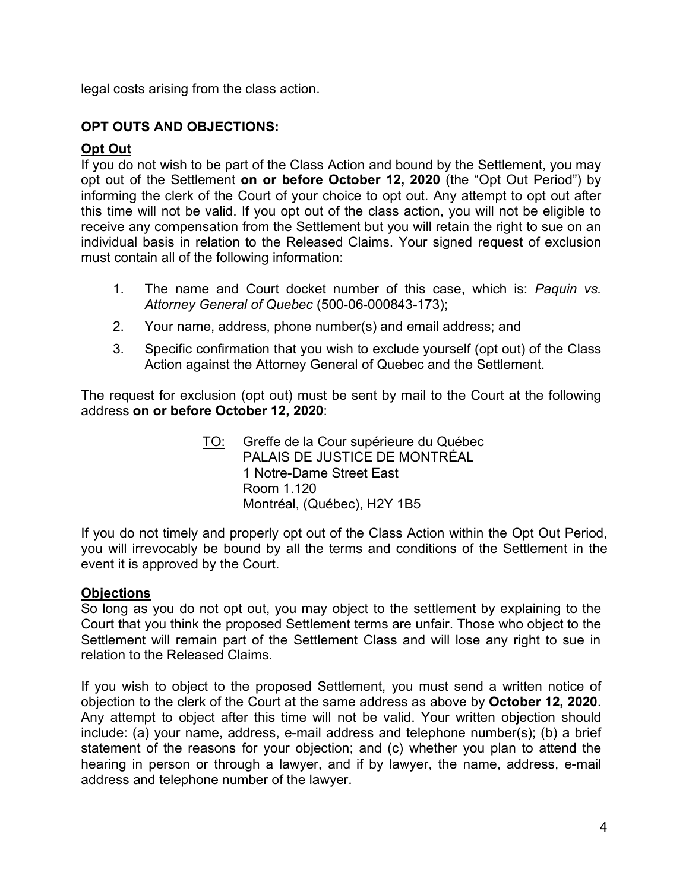legal costs arising from the class action.

## **OPT OUTS AND OBJECTIONS:**

## **Opt Out**

If you do not wish to be part of the Class Action and bound by the Settlement, you may opt out of the Settlement **on or before October 12, 2020** (the "Opt Out Period") by informing the clerk of the Court of your choice to opt out. Any attempt to opt out after this time will not be valid. If you opt out of the class action, you will not be eligible to receive any compensation from the Settlement but you will retain the right to sue on an individual basis in relation to the Released Claims. Your signed request of exclusion must contain all of the following information:

- 1. The name and Court docket number of this case, which is: *Paquin vs. Attorney General of Quebec* (500-06-000843-173);
- 2. Your name, address, phone number(s) and email address; and
- 3. Specific confirmation that you wish to exclude yourself (opt out) of the Class Action against the Attorney General of Quebec and the Settlement.

The request for exclusion (opt out) must be sent by mail to the Court at the following address **on or before October 12, 2020**:

> TO: Greffe de la Cour supérieure du Québec PALAIS DE JUSTICE DE MONTRÉAL 1 Notre-Dame Street East Room 1.120 Montréal, (Québec), H2Y 1B5

If you do not timely and properly opt out of the Class Action within the Opt Out Period, you will irrevocably be bound by all the terms and conditions of the Settlement in the event it is approved by the Court.

## **Objections**

So long as you do not opt out, you may object to the settlement by explaining to the Court that you think the proposed Settlement terms are unfair. Those who object to the Settlement will remain part of the Settlement Class and will lose any right to sue in relation to the Released Claims.

If you wish to object to the proposed Settlement, you must send a written notice of objection to the clerk of the Court at the same address as above by **October 12, 2020**. Any attempt to object after this time will not be valid. Your written objection should include: (a) your name, address, e-mail address and telephone number(s); (b) a brief statement of the reasons for your objection; and (c) whether you plan to attend the hearing in person or through a lawyer, and if by lawyer, the name, address, e-mail address and telephone number of the lawyer.